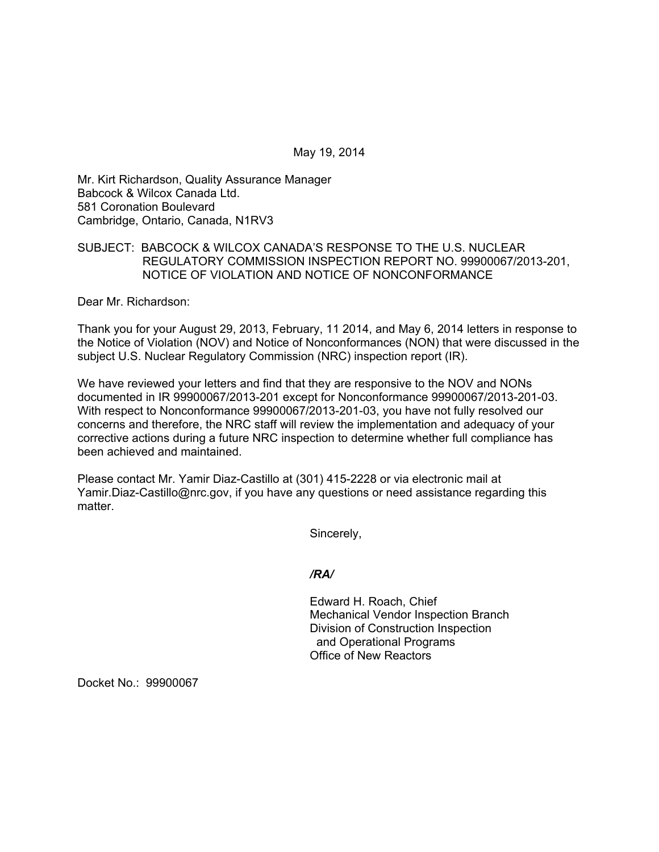May 19, 2014

Mr. Kirt Richardson, Quality Assurance Manager Babcock & Wilcox Canada Ltd. 581 Coronation Boulevard Cambridge, Ontario, Canada, N1RV3

## SUBJECT: BABCOCK & WILCOX CANADA'S RESPONSE TO THE U.S. NUCLEAR REGULATORY COMMISSION INSPECTION REPORT NO. 99900067/2013-201, NOTICE OF VIOLATION AND NOTICE OF NONCONFORMANCE

Dear Mr. Richardson:

Thank you for your August 29, 2013, February, 11 2014, and May 6, 2014 letters in response to the Notice of Violation (NOV) and Notice of Nonconformances (NON) that were discussed in the subject U.S. Nuclear Regulatory Commission (NRC) inspection report (IR).

We have reviewed your letters and find that they are responsive to the NOV and NONs documented in IR 99900067/2013-201 except for Nonconformance 99900067/2013-201-03. With respect to Nonconformance 99900067/2013-201-03, you have not fully resolved our concerns and therefore, the NRC staff will review the implementation and adequacy of your corrective actions during a future NRC inspection to determine whether full compliance has been achieved and maintained.

Please contact Mr. Yamir Diaz-Castillo at (301) 415-2228 or via electronic mail at Yamir.Diaz-Castillo@nrc.gov, if you have any questions or need assistance regarding this matter

Sincerely,

*/RA/* 

Edward H. Roach, Chief Mechanical Vendor Inspection Branch Division of Construction Inspection and Operational Programs Office of New Reactors

Docket No.: 99900067